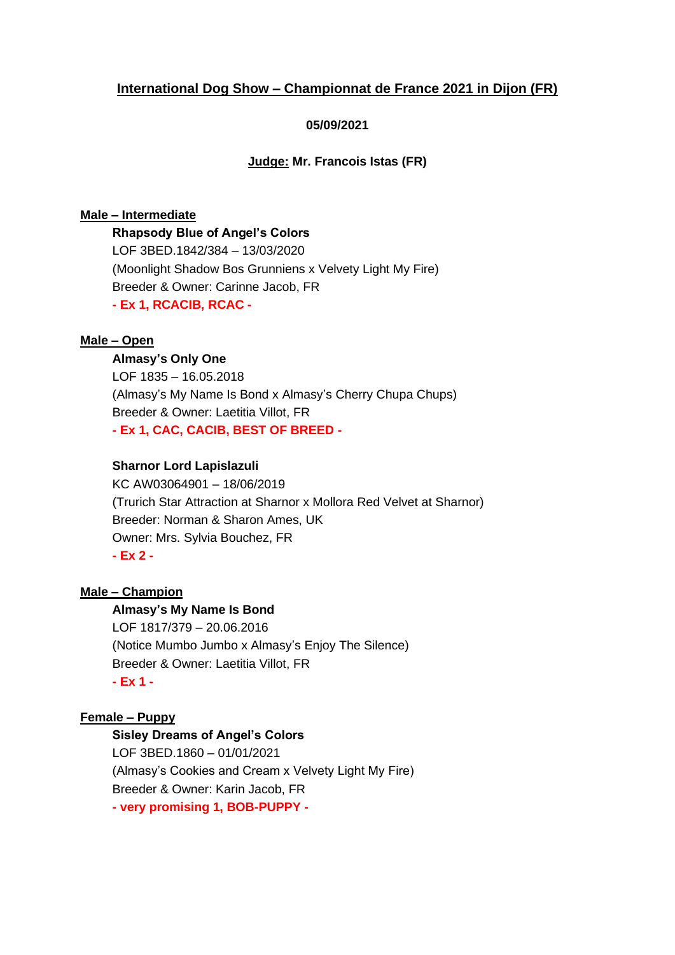# **International Dog Show – Championnat de France 2021 in Dijon (FR)**

### **05/09/2021**

**Judge: Mr. Francois Istas (FR)**

#### **Male – Intermediate**

**Rhapsody Blue of Angel's Colors**

LOF 3BED.1842/384 – 13/03/2020 (Moonlight Shadow Bos Grunniens x Velvety Light My Fire) Breeder & Owner: Carinne Jacob, FR **- Ex 1, RCACIB, RCAC -**

#### **Male – Open**

#### **Almasy's Only One**

LOF 1835 – 16.05.2018 (Almasy's My Name Is Bond x Almasy's Cherry Chupa Chups) Breeder & Owner: Laetitia Villot, FR **- Ex 1, CAC, CACIB, BEST OF BREED -**

### **Sharnor Lord Lapislazuli**

KC AW03064901 – 18/06/2019 (Trurich Star Attraction at Sharnor x Mollora Red Velvet at Sharnor) Breeder: Norman & Sharon Ames, UK Owner: Mrs. Sylvia Bouchez, FR **- Ex 2 -**

### **Male – Champion**

#### **Almasy's My Name Is Bond**

LOF 1817/379 – 20.06.2016 (Notice Mumbo Jumbo x Almasy's Enjoy The Silence) Breeder & Owner: Laetitia Villot, FR **- Ex 1 -**

#### **Female – Puppy**

### **Sisley Dreams of Angel's Colors**

LOF 3BED.1860 – 01/01/2021 (Almasy's Cookies and Cream x Velvety Light My Fire) Breeder & Owner: Karin Jacob, FR **- very promising 1, BOB-PUPPY -**